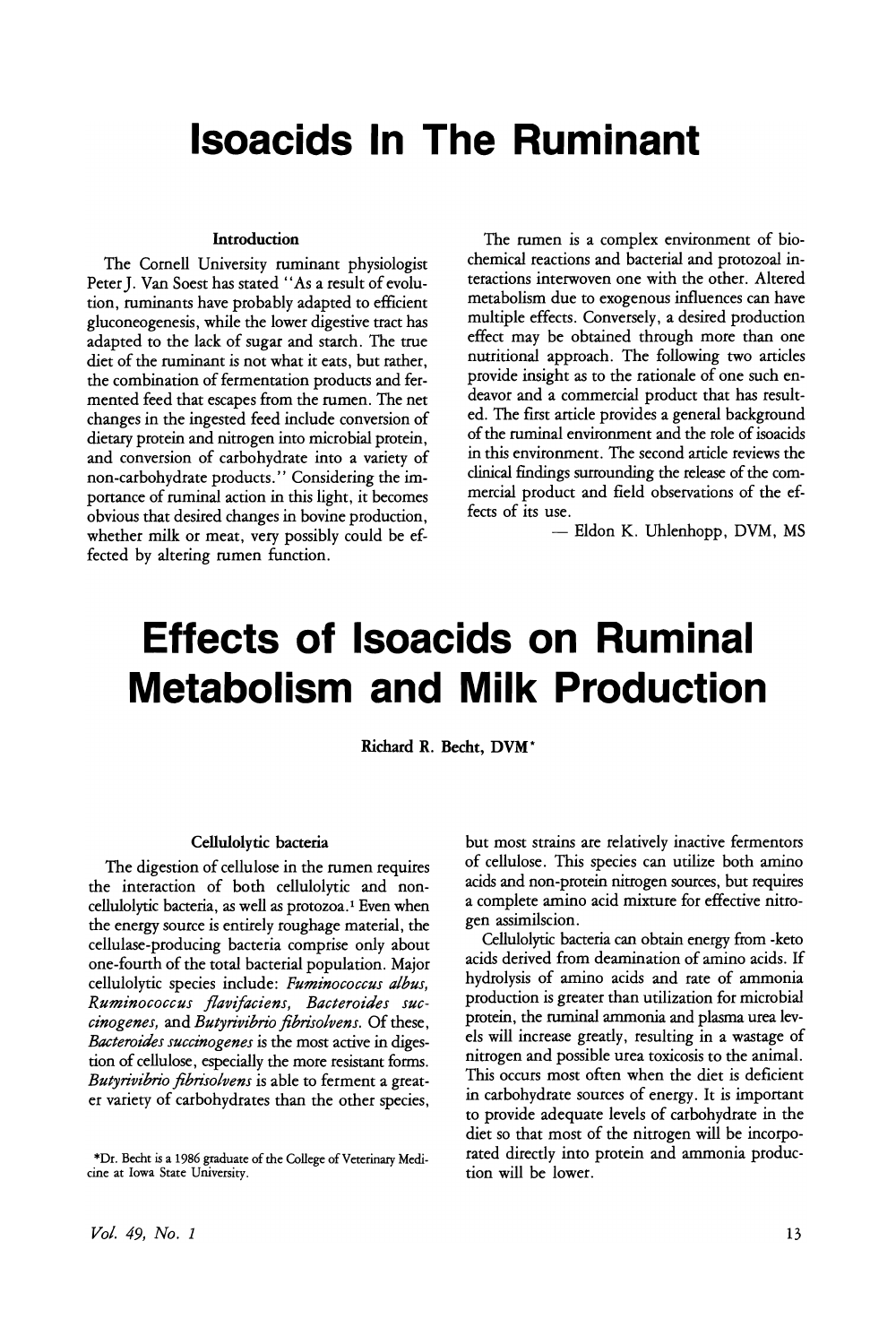## **Isoacids In The Ruminant**

#### Introduction

The Cornell University ruminant physiologist Peter J. Van Soest has stated "As a result of evolution, ruminants have probably adapted to efficient gluconeogenesis, while the lower digestive tract has adapted to the lack of sugar and starch. The true diet of the ruminant is not what it eats, but rather, the combination of fermentation products and fermented feed that escapes from the rumen. The net changes in the ingested feed include conversion of dietary protein and nitrogen into microbial protein, and conversion of carbohydrate into a variety of non-carbohydrate products." Considering the importance of ruminal action in this light, it becomes obvious that desired changes in bovine production, whether milk or meat, very possibly could be effected by altering rumen function.

The rumen is a complex environment of biochemical reactions and bacterial and protozoal interactions interwoven one with the other. Altered metabolism due to exogenous influences can have multiple effects. Conversely, a desired production effect may be obtained through more than one nutritional approach. The following two articles provide insight as to the rationale of one such endeavor and a commercial product that has resulted. The first article provides a general background of the ruminal environment and the role of isoacids in this environment. The second article reviews the clinical findings surrounding the release of the commercial product and field observations of the effects of its use.

- Eldon K. Uhlenhopp, DVM, MS

# **Effects of Isoacids on Ruminal Metabolism and Milk Production**

Richard R. Becht, DVM\*

#### Cellulolytic bacteria

The digestion of cellulose in the rumen requires the interaction of both cellulolytic and noncellulolytic bacteria, as well as protozoa.! Even when the energy source is entirely roughage material, the cellulase-producing bacteria comprise only about one-fourth of the total bacterial population. Major<br>cellulolytic species include: Fuminococcus albus, Ruminococcus *flavifaciens*, Bacteroides suc*cinogenes*, and *Butyrivibrio fibrisolvens*. Of these, *Bacteroides succinogenes* is the most active in digestion of cellulose, especially the more resistant forms. Butyrivibrio fibrisolvens is able to ferment a great-*Butyrivibrio fibrisolvens* is able to ferment a greater variety of carbohydrates than the other species, but most strains are relatively inactive fermentors of cellulose. This species can utilize both amino acids and non-protein nitrogen sources, but requires a complete amino acid mixture for effective nitro-<br>gen assimilscion.

Cellulolytic bacteria can obtain energy from -keto Cellulolytic bacteria can obtain energy from -keto acids derived from deamination of amino acids. If hydrolysis of amino acids and rate of ammonia protein, the ruminal ammonia and plasma urea levels will increase greatly, resulting in a wastage of nitrogen and possible urea toxicosis to the animal. This occurs most often when the diet is deficient in carbohydrate sources of energy. It is important to provide adequate levels of carbohydrate in the diet so that most of the nitrogen will be incorpodiet so that most of the nitrogen will be incorpoarcu directly into protein and ammonia production will be lower.

<sup>\*</sup>Dr. Becht is a 1986 graduate ofthe College ofVeterinary Medi-cine at Iowa State University.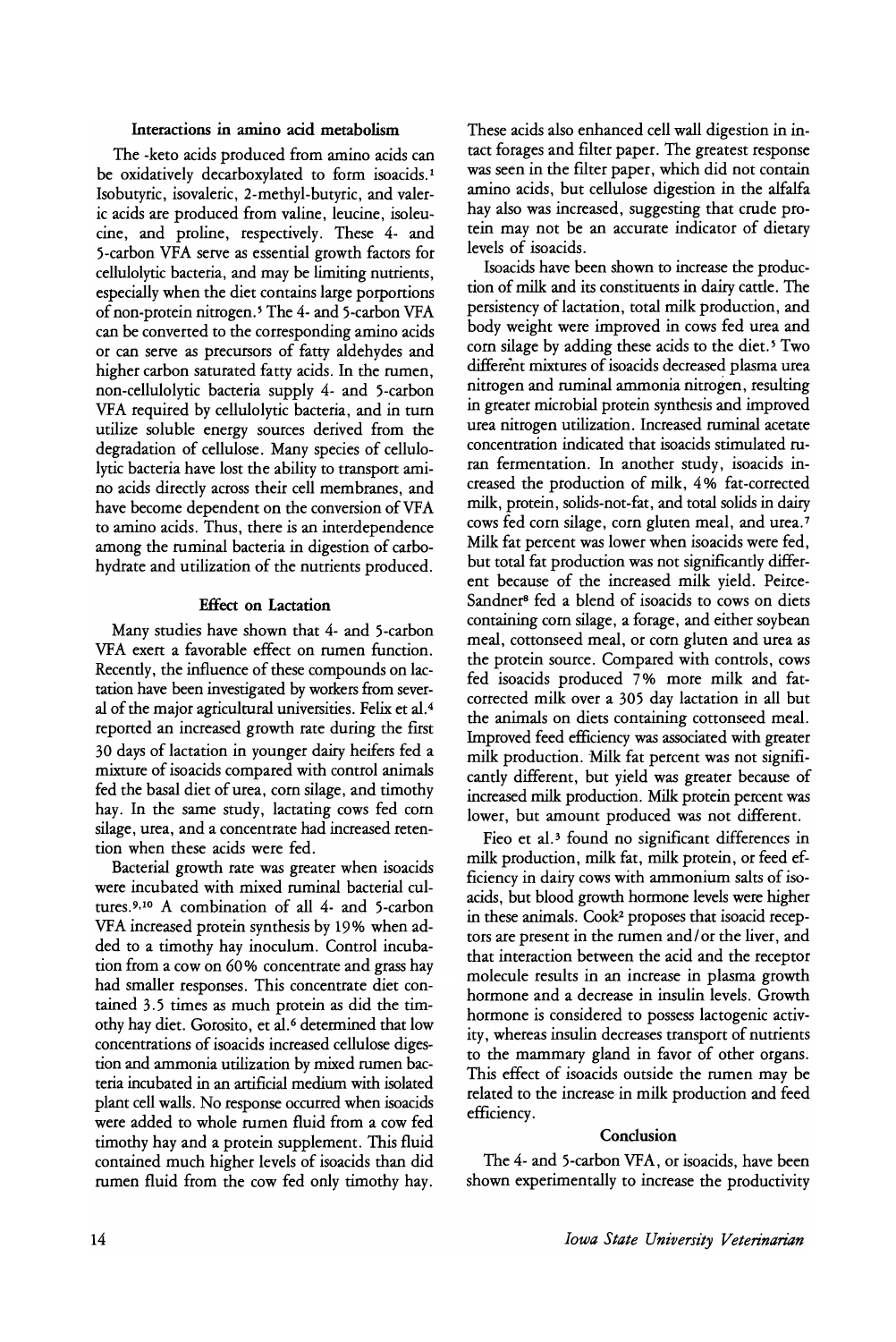#### Interactions in amino acid metabolism

The -keto acids produced from amino acids can be oxidatively decarboxylated to form isoacids.<sup>1</sup> Isobutyric, isovaleric, 2-methyl-butyric, and valerie acids are produced from valine, leucine, isoleucine, and proline, respectively. These 4- and 5-carbon VFA serve as essential growth factors for cellulolytic bacteria, and may be limiting nutrients, especially when the diet contains large porportions of non-protein nitrogen. <sup>5</sup> The 4- and 5-carbon VFA can be converted to the corresponding amino acids or can serve as precursors of fatty aldehydes and higher carbon saturated fatty acids. In the rumen, non-cellulolytic bacteria supply 4- and 5-carbon VFA required by cellulolytic bacteria, and in turn utilize soluble energy sources derived from the degradation of cellulose. Many species of cellulolytic bacteria have lost the ability to transport amino acids directly across their cell membranes, and have become dependent on the conversion of VFA to amino acids. Thus, there is an interdependence among the ruminal bacteria in digestion of carbohydrate and utilization of the nutrients produced.

#### Effect on Lactation

Many studies have shown that 4- and 5-carbon VFA exert a favorable effect on rumen function. Recently, the influence of these compounds on lactation have been investigated by workers from several of the major agricultural universities. Felix et al.<sup>4</sup> reported an increased growth rate during the first 30 days of lactation in younger dairy heifers fed a mixture of isoacids compared with control animals fed the basal diet of urea, corn silage, and timothy hay. In the same study, lactating cows fed corn silage, urea, and a concentrate had increased retention when these acids were fed.

Bacterial growth rate was greater when isoacids were incubated with mixed ruminal bacterial cultures. <sup>9</sup>,10 A combination of all 4- and 5-carbon VFA increased protein synthesis by 19% when added to a timothy hay inoculum. Control incubation from a cow on 60% concentrate and grass hay had smaller responses. This concentrate diet contained 3.5 times as much protein as did the timothy hay diet. Gorosito, et al. <sup>6</sup> determined that low concentrations of isoacids increased cellulose digestion and ammonia utilization by mixed rumen bacteria incubated in an artificial medium with isolated plant cell walls. No response occurred when isoacids were added to whole rumen fluid from a cow fed timothy hay and a protein supplement. This fluid contained much higher levels of isoacids than did rumen fluid from the cow fed only timothy hay.

These acids also enhanced cell wall digestion in intact forages and filter paper. The greatest response was seen in the filter paper, which did not contain amino acids, but cellulose digestion in the alfalfa hay also was increased, suggesting that crude protein may not be an accurate indicator of dietary levels of isoacids.

Isoacids have been shown to increase the production of milk and its constituents in dairy cattle. The persistency of lactation, total milk production, and body weight were improved in cows fed urea and corn silage by adding these acids to the diet.<sup>5</sup> Two different mixtures of isoacids decreased plasma urea nitrogen and ruminal ammonia nitrogen, resulting in greater microbial protein synthesis and improved urea nitrogen utilization. Increased ruminal acetate concentration indicated that isoacids stimulated ruran fermentation. In another study, isoacids increased the production of milk, 4% fat-corrected milk, protein, solids-not-fat, and total solids in dairy cows fed corn silage, corn gluten meal, and urea. <sup>7</sup> Milk fat percent was lower when isoacids were fed but total fat production was not significantly different because of the increased milk yield. Peirce-Sandner8 fed a blend of isoacids to cows on diets containing corn silage, a forage, and either soybean meal, cottonseed meal, or corn gluten and urea as the protein source. Compared with controls, cows fed isoacids produced 7 % more milk and fatcorrected milk over a 305 day lactation in all but the animals on diets containing cottonseed meal. Improved feed efficiency was associated with greater milk production. Milk fat percent was not significantly different, but yield was greater because of increased milk production. Milk protein percent was lower, but amount produced was not different.

Fieo et al.<sup>3</sup> found no significant differences in milk production, milk fat, milk protein, or feed efficiency in dairy cows with ammonium salts of isoacids, but blood growth hormone levels were higher in these animals. Cook<sup>2</sup> proposes that isoacid receptors are present in the rumen and/ or the liver, and that interaction between the acid and the receptor molecule results in an increase in plasma growth hormone and a decrease in insulin levels. Growth hormone is considered to possess lactogenic activity, whereas insulin decreases transport of nutrients to the mammary gland in favor of other organs. This effect of isoacids outside the rumen may be related to the increase in milk production and feed efficiency.

#### **Conclusion**

The 4- and 5-carbon VFA, or isoacids, have been shown experimentally to increase the productivity